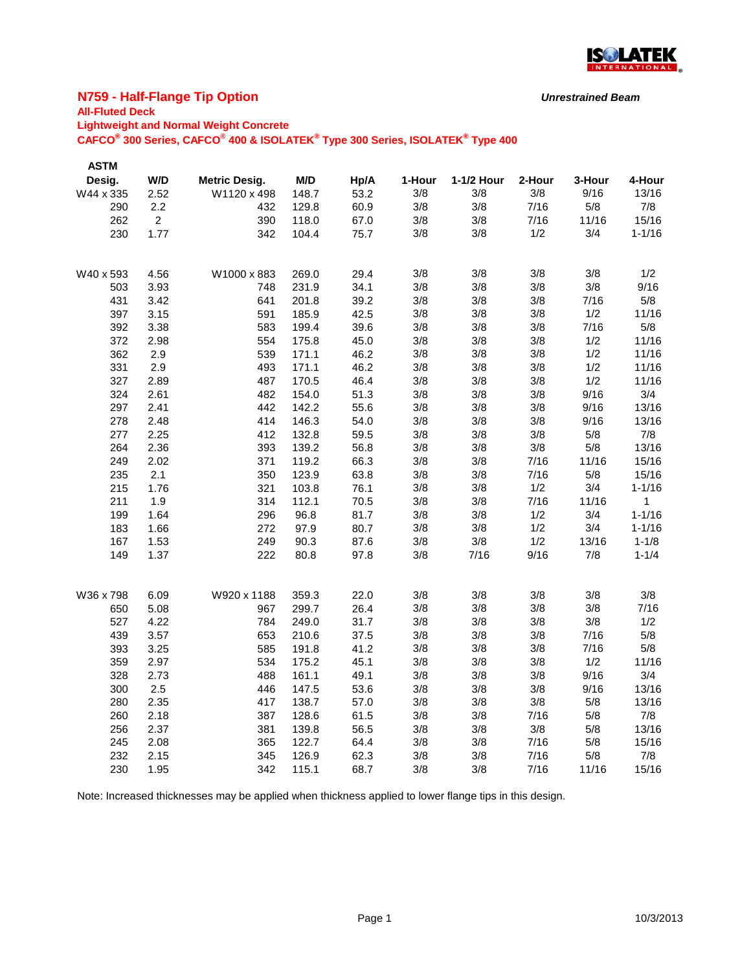

### **N759 - Half-Flange Tip Option**

## **All-Fluted Deck**

**Lightweight and Normal Weight Concrete**

**CAFCO® 300 Series, CAFCO® 400 & ISOLATEK® Type 300 Series, ISOLATEK® Type 400**

| <b>ASTM</b> |                |                      |       |      |        |            |        |        |            |
|-------------|----------------|----------------------|-------|------|--------|------------|--------|--------|------------|
| Desig.      | W/D            | <b>Metric Desig.</b> | M/D   | Hp/A | 1-Hour | 1-1/2 Hour | 2-Hour | 3-Hour | 4-Hour     |
| W44 x 335   | 2.52           | W1120 x 498          | 148.7 | 53.2 | 3/8    | 3/8        | 3/8    | 9/16   | 13/16      |
| 290         | 2.2            | 432                  | 129.8 | 60.9 | 3/8    | 3/8        | 7/16   | 5/8    | 7/8        |
| 262         | $\overline{2}$ | 390                  | 118.0 | 67.0 | 3/8    | 3/8        | 7/16   | 11/16  | 15/16      |
| 230         | 1.77           | 342                  | 104.4 | 75.7 | 3/8    | 3/8        | 1/2    | 3/4    | $1 - 1/16$ |
|             |                |                      |       |      |        |            |        |        |            |
| W40 x 593   | 4.56           | W1000 x 883          | 269.0 | 29.4 | 3/8    | 3/8        | 3/8    | 3/8    | 1/2        |
| 503         | 3.93           | 748                  | 231.9 | 34.1 | 3/8    | 3/8        | 3/8    | 3/8    | 9/16       |
| 431         | 3.42           | 641                  | 201.8 | 39.2 | 3/8    | 3/8        | 3/8    | 7/16   | 5/8        |
| 397         | 3.15           | 591                  | 185.9 | 42.5 | 3/8    | 3/8        | 3/8    | 1/2    | 11/16      |
| 392         | 3.38           | 583                  | 199.4 | 39.6 | 3/8    | 3/8        | 3/8    | 7/16   | 5/8        |
| 372         | 2.98           | 554                  | 175.8 | 45.0 | 3/8    | 3/8        | 3/8    | 1/2    | 11/16      |
| 362         | 2.9            | 539                  | 171.1 | 46.2 | 3/8    | 3/8        | 3/8    | 1/2    | 11/16      |
| 331         | 2.9            | 493                  | 171.1 | 46.2 | 3/8    | 3/8        | 3/8    | 1/2    | 11/16      |
| 327         | 2.89           | 487                  | 170.5 | 46.4 | 3/8    | 3/8        | 3/8    | 1/2    | 11/16      |
| 324         | 2.61           | 482                  | 154.0 | 51.3 | 3/8    | 3/8        | 3/8    | 9/16   | 3/4        |
| 297         | 2.41           | 442                  | 142.2 | 55.6 | 3/8    | 3/8        | 3/8    | 9/16   | 13/16      |
| 278         | 2.48           | 414                  | 146.3 | 54.0 | 3/8    | 3/8        | 3/8    | 9/16   | 13/16      |
| 277         | 2.25           | 412                  | 132.8 | 59.5 | 3/8    | 3/8        | 3/8    | 5/8    | 7/8        |
| 264         | 2.36           | 393                  | 139.2 | 56.8 | 3/8    | 3/8        | 3/8    | 5/8    | 13/16      |
| 249         | 2.02           | 371                  | 119.2 | 66.3 | 3/8    | 3/8        | 7/16   | 11/16  | 15/16      |
| 235         | 2.1            | 350                  | 123.9 | 63.8 | 3/8    | 3/8        | 7/16   | 5/8    | 15/16      |
| 215         | 1.76           | 321                  | 103.8 | 76.1 | 3/8    | 3/8        | 1/2    | 3/4    | $1 - 1/16$ |
| 211         | 1.9            | 314                  | 112.1 | 70.5 | 3/8    | 3/8        | 7/16   | 11/16  | 1          |
| 199         | 1.64           | 296                  | 96.8  | 81.7 | 3/8    | 3/8        | 1/2    | 3/4    | $1 - 1/16$ |
| 183         | 1.66           | 272                  | 97.9  | 80.7 | 3/8    | 3/8        | 1/2    | 3/4    | $1 - 1/16$ |
| 167         | 1.53           | 249                  | 90.3  | 87.6 | 3/8    | 3/8        | 1/2    | 13/16  | $1 - 1/8$  |
| 149         | 1.37           | 222                  | 80.8  | 97.8 | 3/8    | 7/16       | 9/16   | 7/8    | $1 - 1/4$  |
|             |                |                      |       |      |        |            |        |        |            |
| W36 x 798   | 6.09           | W920 x 1188          | 359.3 | 22.0 | 3/8    | 3/8        | 3/8    | 3/8    | 3/8        |
| 650         | 5.08           | 967                  | 299.7 | 26.4 | 3/8    | 3/8        | 3/8    | 3/8    | 7/16       |
| 527         | 4.22           | 784                  | 249.0 | 31.7 | 3/8    | 3/8        | 3/8    | 3/8    | 1/2        |
| 439         | 3.57           | 653                  | 210.6 | 37.5 | 3/8    | 3/8        | 3/8    | 7/16   | 5/8        |
| 393         | 3.25           | 585                  | 191.8 | 41.2 | 3/8    | 3/8        | 3/8    | 7/16   | 5/8        |
| 359         | 2.97           | 534                  | 175.2 | 45.1 | 3/8    | 3/8        | 3/8    | 1/2    | 11/16      |
| 328         | 2.73           | 488                  | 161.1 | 49.1 | 3/8    | 3/8        | 3/8    | 9/16   | 3/4        |
| 300         | 2.5            | 446                  | 147.5 | 53.6 | 3/8    | 3/8        | 3/8    | 9/16   | 13/16      |
| 280         | 2.35           | 417                  | 138.7 | 57.0 | 3/8    | 3/8        | 3/8    | 5/8    | 13/16      |
| 260         | 2.18           | 387                  | 128.6 | 61.5 | 3/8    | 3/8        | 7/16   | 5/8    | 7/8        |
| 256         | 2.37           | 381                  | 139.8 | 56.5 | 3/8    | 3/8        | 3/8    | 5/8    | 13/16      |
| 245         | 2.08           | 365                  | 122.7 | 64.4 | 3/8    | 3/8        | 7/16   | 5/8    | 15/16      |
| 232         | 2.15           | 345                  | 126.9 | 62.3 | 3/8    | 3/8        | 7/16   | 5/8    | 7/8        |
| 230         | 1.95           | 342                  | 115.1 | 68.7 | 3/8    | 3/8        | 7/16   | 11/16  | 15/16      |

Note: Increased thicknesses may be applied when thickness applied to lower flange tips in this design.

*Unrestrained Beam*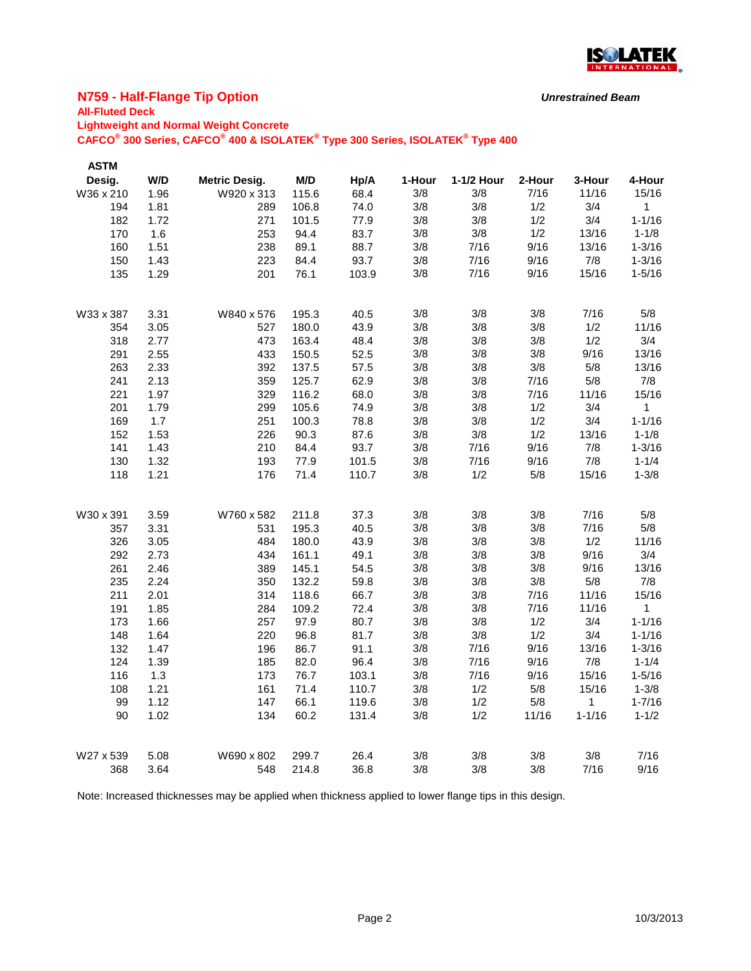

### **N759 - Half-Flange Tip Option**

# **All-Fluted Deck**

**Lightweight and Normal Weight Concrete**

**CAFCO® 300 Series, CAFCO® 400 & ISOLATEK® Type 300 Series, ISOLATEK® Type 400**

| <b>ASTM</b><br>Desig. | W/D  | <b>Metric Desig.</b> | M/D   | Hp/A  | 1-Hour | 1-1/2 Hour | 2-Hour | 3-Hour     | 4-Hour      |
|-----------------------|------|----------------------|-------|-------|--------|------------|--------|------------|-------------|
| W36 x 210             | 1.96 | W920 x 313           | 115.6 | 68.4  | 3/8    | 3/8        | 7/16   | 11/16      | 15/16       |
| 194                   | 1.81 | 289                  | 106.8 | 74.0  | 3/8    | 3/8        | 1/2    | 3/4        | $\mathbf 1$ |
| 182                   | 1.72 | 271                  | 101.5 | 77.9  | 3/8    | 3/8        | 1/2    | 3/4        | $1 - 1/16$  |
| 170                   | 1.6  | 253                  | 94.4  | 83.7  | 3/8    | 3/8        | 1/2    | 13/16      | $1 - 1/8$   |
| 160                   | 1.51 | 238                  | 89.1  | 88.7  | 3/8    | 7/16       | 9/16   | 13/16      | $1 - 3/16$  |
| 150                   | 1.43 | 223                  | 84.4  | 93.7  | 3/8    | 7/16       | 9/16   | 7/8        | $1 - 3/16$  |
| 135                   | 1.29 | 201                  | 76.1  | 103.9 | 3/8    | 7/16       | 9/16   | 15/16      | $1 - 5/16$  |
|                       |      |                      |       |       |        |            |        |            |             |
| W33 x 387             | 3.31 | W840 x 576           | 195.3 | 40.5  | 3/8    | 3/8        | 3/8    | 7/16       | 5/8         |
| 354                   | 3.05 | 527                  | 180.0 | 43.9  | 3/8    | 3/8        | 3/8    | 1/2        | 11/16       |
| 318                   | 2.77 | 473                  | 163.4 | 48.4  | 3/8    | 3/8        | 3/8    | 1/2        | 3/4         |
| 291                   | 2.55 | 433                  | 150.5 | 52.5  | 3/8    | 3/8        | 3/8    | 9/16       | 13/16       |
| 263                   | 2.33 | 392                  | 137.5 | 57.5  | 3/8    | 3/8        | 3/8    | 5/8        | 13/16       |
| 241                   | 2.13 | 359                  | 125.7 | 62.9  | 3/8    | 3/8        | 7/16   | 5/8        | 7/8         |
| 221                   | 1.97 | 329                  | 116.2 | 68.0  | 3/8    | 3/8        | 7/16   | 11/16      | 15/16       |
| 201                   | 1.79 | 299                  | 105.6 | 74.9  | 3/8    | 3/8        | 1/2    | 3/4        | 1           |
| 169                   | 1.7  | 251                  | 100.3 | 78.8  | 3/8    | 3/8        | 1/2    | 3/4        | $1 - 1/16$  |
| 152                   | 1.53 | 226                  | 90.3  | 87.6  | 3/8    | 3/8        | 1/2    | 13/16      | $1 - 1/8$   |
| 141                   | 1.43 | 210                  | 84.4  | 93.7  | 3/8    | 7/16       | 9/16   | 7/8        | $1 - 3/16$  |
| 130                   | 1.32 | 193                  | 77.9  | 101.5 | 3/8    | 7/16       | 9/16   | 7/8        | $1 - 1/4$   |
| 118                   | 1.21 | 176                  | 71.4  | 110.7 | 3/8    | 1/2        | $5/8$  | 15/16      | $1 - 3/8$   |
| W30 x 391             | 3.59 | W760 x 582           | 211.8 | 37.3  | 3/8    | 3/8        | 3/8    | 7/16       | 5/8         |
| 357                   | 3.31 | 531                  | 195.3 | 40.5  | 3/8    | 3/8        | 3/8    | 7/16       | 5/8         |
| 326                   | 3.05 | 484                  | 180.0 | 43.9  | 3/8    | 3/8        | 3/8    | 1/2        | 11/16       |
| 292                   | 2.73 | 434                  | 161.1 | 49.1  | 3/8    | 3/8        | 3/8    | 9/16       | 3/4         |
| 261                   | 2.46 | 389                  | 145.1 | 54.5  | 3/8    | 3/8        | 3/8    | 9/16       | 13/16       |
| 235                   | 2.24 | 350                  | 132.2 | 59.8  | 3/8    | 3/8        | 3/8    | 5/8        | 7/8         |
| 211                   | 2.01 | 314                  | 118.6 | 66.7  | 3/8    | 3/8        | 7/16   | 11/16      | 15/16       |
| 191                   | 1.85 | 284                  | 109.2 | 72.4  | 3/8    | 3/8        | 7/16   | 11/16      | 1           |
| 173                   | 1.66 | 257                  | 97.9  | 80.7  | 3/8    | 3/8        | 1/2    | 3/4        | $1 - 1/16$  |
| 148                   | 1.64 | 220                  | 96.8  | 81.7  | 3/8    | 3/8        | 1/2    | 3/4        | $1 - 1/16$  |
| 132                   | 1.47 | 196                  | 86.7  | 91.1  | 3/8    | 7/16       | 9/16   | 13/16      | $1 - 3/16$  |
| 124                   | 1.39 | 185                  | 82.0  | 96.4  | 3/8    | 7/16       | 9/16   | 7/8        | $1 - 1/4$   |
| 116                   | 1.3  | 173                  | 76.7  | 103.1 | 3/8    | 7/16       | 9/16   | 15/16      | $1 - 5/16$  |
| 108                   | 1.21 | 161                  | 71.4  | 110.7 | 3/8    | 1/2        | 5/8    | 15/16      | $1 - 3/8$   |
| 99                    | 1.12 | 147                  | 66.1  | 119.6 | 3/8    | 1/2        | 5/8    | 1          | $1 - 7/16$  |
| 90                    | 1.02 | 134                  | 60.2  | 131.4 | 3/8    | 1/2        | 11/16  | $1 - 1/16$ | $1 - 1/2$   |
| W27 x 539             | 5.08 | W690 x 802           | 299.7 | 26.4  | 3/8    | 3/8        | 3/8    | 3/8        | 7/16        |
| 368                   | 3.64 | 548                  | 214.8 | 36.8  | 3/8    | 3/8        | 3/8    | 7/16       | 9/16        |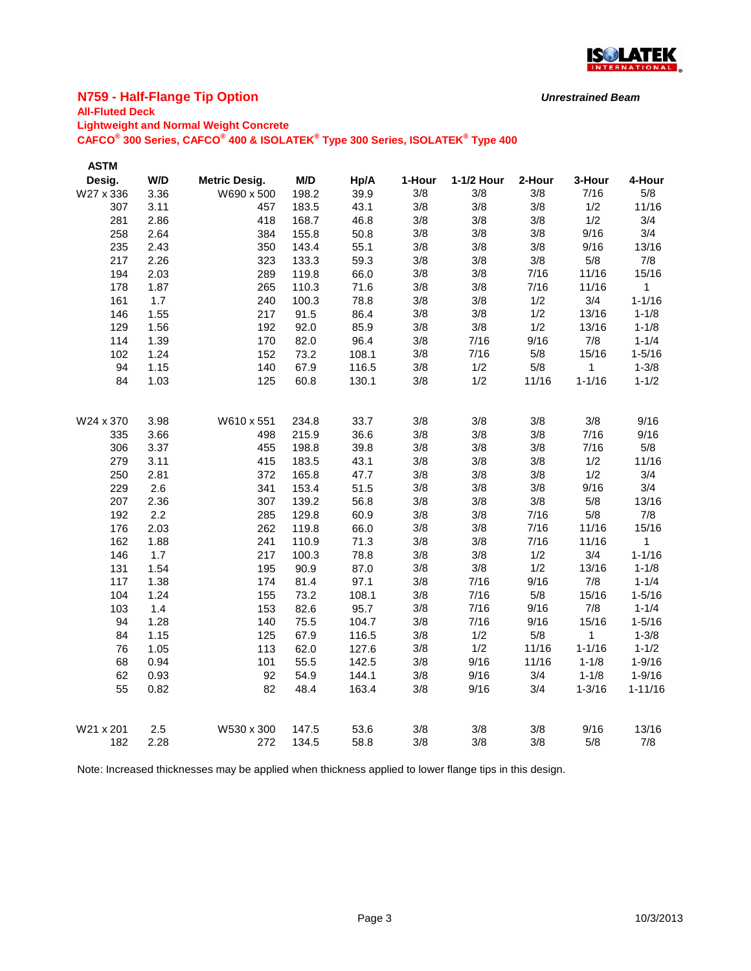

### **N759 - Half-Flange Tip Option**

# **All-Fluted Deck**

**Lightweight and Normal Weight Concrete**

**CAFCO® 300 Series, CAFCO® 400 & ISOLATEK® Type 300 Series, ISOLATEK® Type 400**

| W/D<br>Desig.<br>M/D<br>Hp/A<br>1-Hour<br>1-1/2 Hour<br>2-Hour<br>3-Hour<br><b>Metric Desig.</b><br>39.9<br>W27 x 336<br>3.36<br>W690 x 500<br>198.2<br>3/8<br>3/8<br>3/8<br>7/16<br>43.1<br>3/8<br>3/8<br>3.11<br>183.5<br>3/8<br>1/2<br>307<br>457<br>3/8<br>1/2<br>281<br>2.86<br>418<br>168.7<br>46.8<br>3/8<br>3/8<br>9/16<br>258<br>2.64<br>384<br>155.8<br>50.8<br>3/8<br>3/8<br>3/8<br>55.1<br>3/8<br>9/16<br>235<br>2.43<br>350<br>143.4<br>3/8<br>3/8<br>217<br>3/8<br>5/8<br>2.26<br>133.3<br>59.3<br>3/8<br>3/8<br>323<br>3/8<br>66.0<br>3/8<br>7/16<br>11/16<br>194<br>2.03<br>289<br>119.8<br>3/8<br>3/8<br>7/16<br>11/16<br>178<br>1.87<br>265<br>110.3<br>71.6<br>3/8<br>3/4<br>1.7<br>3/8<br>1/2<br>161<br>100.3<br>78.8<br>240<br>3/8<br>3/8<br>1/2<br>13/16<br>146<br>1.55<br>217<br>91.5<br>86.4 |              |
|----------------------------------------------------------------------------------------------------------------------------------------------------------------------------------------------------------------------------------------------------------------------------------------------------------------------------------------------------------------------------------------------------------------------------------------------------------------------------------------------------------------------------------------------------------------------------------------------------------------------------------------------------------------------------------------------------------------------------------------------------------------------------------------------------------------------|--------------|
|                                                                                                                                                                                                                                                                                                                                                                                                                                                                                                                                                                                                                                                                                                                                                                                                                      | 4-Hour       |
|                                                                                                                                                                                                                                                                                                                                                                                                                                                                                                                                                                                                                                                                                                                                                                                                                      | 5/8          |
|                                                                                                                                                                                                                                                                                                                                                                                                                                                                                                                                                                                                                                                                                                                                                                                                                      | 11/16        |
|                                                                                                                                                                                                                                                                                                                                                                                                                                                                                                                                                                                                                                                                                                                                                                                                                      | 3/4          |
|                                                                                                                                                                                                                                                                                                                                                                                                                                                                                                                                                                                                                                                                                                                                                                                                                      | 3/4          |
|                                                                                                                                                                                                                                                                                                                                                                                                                                                                                                                                                                                                                                                                                                                                                                                                                      | 13/16        |
|                                                                                                                                                                                                                                                                                                                                                                                                                                                                                                                                                                                                                                                                                                                                                                                                                      | 7/8          |
|                                                                                                                                                                                                                                                                                                                                                                                                                                                                                                                                                                                                                                                                                                                                                                                                                      | 15/16        |
|                                                                                                                                                                                                                                                                                                                                                                                                                                                                                                                                                                                                                                                                                                                                                                                                                      | $\mathbf{1}$ |
|                                                                                                                                                                                                                                                                                                                                                                                                                                                                                                                                                                                                                                                                                                                                                                                                                      | $1 - 1/16$   |
|                                                                                                                                                                                                                                                                                                                                                                                                                                                                                                                                                                                                                                                                                                                                                                                                                      | $1 - 1/8$    |
| 92.0<br>85.9<br>3/8<br>3/8<br>1/2<br>129<br>1.56<br>192<br>13/16                                                                                                                                                                                                                                                                                                                                                                                                                                                                                                                                                                                                                                                                                                                                                     | $1 - 1/8$    |
| 82.0<br>96.4<br>3/8<br>7/16<br>9/16<br>7/8<br>114<br>1.39<br>170                                                                                                                                                                                                                                                                                                                                                                                                                                                                                                                                                                                                                                                                                                                                                     | $1 - 1/4$    |
| 73.2<br>108.1<br>3/8<br>102<br>1.24<br>7/16<br>5/8<br>15/16<br>152                                                                                                                                                                                                                                                                                                                                                                                                                                                                                                                                                                                                                                                                                                                                                   | $1 - 5/16$   |
| 94<br>1.15<br>116.5<br>1/2<br>5/8<br>1<br>140<br>67.9<br>3/8                                                                                                                                                                                                                                                                                                                                                                                                                                                                                                                                                                                                                                                                                                                                                         | $1 - 3/8$    |
| 84<br>60.8<br>1/2<br>$1 - 1/16$<br>1.03<br>125<br>130.1<br>3/8<br>11/16                                                                                                                                                                                                                                                                                                                                                                                                                                                                                                                                                                                                                                                                                                                                              | $1 - 1/2$    |
|                                                                                                                                                                                                                                                                                                                                                                                                                                                                                                                                                                                                                                                                                                                                                                                                                      |              |
| 3/8<br>3/8<br>3/8<br>3/8<br>W24 x 370<br>3.98<br>W610 x 551<br>234.8<br>33.7                                                                                                                                                                                                                                                                                                                                                                                                                                                                                                                                                                                                                                                                                                                                         | 9/16         |
| 3/8<br>36.6<br>3/8<br>3/8<br>7/16<br>3.66<br>498<br>215.9<br>335                                                                                                                                                                                                                                                                                                                                                                                                                                                                                                                                                                                                                                                                                                                                                     | 9/16         |
| 3/8<br>3/8<br>3/8<br>7/16<br>306<br>39.8<br>3.37<br>455<br>198.8                                                                                                                                                                                                                                                                                                                                                                                                                                                                                                                                                                                                                                                                                                                                                     | 5/8          |
| 3/8<br>1/2<br>279<br>3.11<br>415<br>183.5<br>43.1<br>3/8<br>3/8                                                                                                                                                                                                                                                                                                                                                                                                                                                                                                                                                                                                                                                                                                                                                      | 11/16        |
| 3/8<br>1/2<br>250<br>2.81<br>372<br>165.8<br>47.7<br>3/8<br>3/8                                                                                                                                                                                                                                                                                                                                                                                                                                                                                                                                                                                                                                                                                                                                                      | 3/4          |
| 3/8<br>9/16<br>229<br>2.6<br>153.4<br>51.5<br>3/8<br>3/8<br>341                                                                                                                                                                                                                                                                                                                                                                                                                                                                                                                                                                                                                                                                                                                                                      | 3/4          |
| 3/8<br>5/8<br>207<br>2.36<br>307<br>139.2<br>56.8<br>3/8<br>3/8                                                                                                                                                                                                                                                                                                                                                                                                                                                                                                                                                                                                                                                                                                                                                      | 13/16        |
| 2.2<br>3/8<br>5/8<br>192<br>285<br>129.8<br>60.9<br>3/8<br>7/16                                                                                                                                                                                                                                                                                                                                                                                                                                                                                                                                                                                                                                                                                                                                                      | 7/8          |
| 2.03<br>3/8<br>3/8<br>176<br>262<br>119.8<br>66.0<br>7/16<br>11/16                                                                                                                                                                                                                                                                                                                                                                                                                                                                                                                                                                                                                                                                                                                                                   | 15/16        |
| 162<br>3/8<br>3/8<br>1.88<br>241<br>110.9<br>71.3<br>7/16<br>11/16                                                                                                                                                                                                                                                                                                                                                                                                                                                                                                                                                                                                                                                                                                                                                   | $\mathbf{1}$ |
| 1.7<br>3/8<br>3/4<br>146<br>217<br>100.3<br>78.8<br>3/8<br>1/2                                                                                                                                                                                                                                                                                                                                                                                                                                                                                                                                                                                                                                                                                                                                                       | $1 - 1/16$   |
| 3/8<br>90.9<br>3/8<br>1/2<br>13/16<br>131<br>1.54<br>195<br>87.0                                                                                                                                                                                                                                                                                                                                                                                                                                                                                                                                                                                                                                                                                                                                                     | $1 - 1/8$    |
| 9/16<br>7/8<br>81.4<br>97.1<br>3/8<br>7/16<br>117<br>1.38<br>174                                                                                                                                                                                                                                                                                                                                                                                                                                                                                                                                                                                                                                                                                                                                                     | $1 - 1/4$    |
| 3/8<br>7/16<br>5/8<br>15/16<br>104<br>1.24<br>73.2<br>108.1<br>155                                                                                                                                                                                                                                                                                                                                                                                                                                                                                                                                                                                                                                                                                                                                                   | $1 - 5/16$   |
| 9/16<br>7/8<br>1.4<br>3/8<br>7/16<br>103<br>82.6<br>95.7<br>153                                                                                                                                                                                                                                                                                                                                                                                                                                                                                                                                                                                                                                                                                                                                                      | $1 - 1/4$    |
| 94<br>1.28<br>75.5<br>104.7<br>7/16<br>9/16<br>140<br>3/8<br>15/16                                                                                                                                                                                                                                                                                                                                                                                                                                                                                                                                                                                                                                                                                                                                                   | $1 - 5/16$   |
| 84<br>3/8<br>5/8<br>1.15<br>125<br>67.9<br>116.5<br>1/2<br>1                                                                                                                                                                                                                                                                                                                                                                                                                                                                                                                                                                                                                                                                                                                                                         | $1 - 3/8$    |
| 62.0<br>3/8<br>1/2<br>11/16<br>$1 - 1/16$<br>76<br>1.05<br>113<br>127.6                                                                                                                                                                                                                                                                                                                                                                                                                                                                                                                                                                                                                                                                                                                                              | $1 - 1/2$    |
| 68<br>0.94<br>55.5<br>9/16<br>11/16<br>101<br>142.5<br>3/8<br>$1 - 1/8$                                                                                                                                                                                                                                                                                                                                                                                                                                                                                                                                                                                                                                                                                                                                              | $1 - 9/16$   |
| 62<br>9/16<br>3/4<br>0.93<br>92<br>54.9<br>144.1<br>3/8<br>$1 - 1/8$                                                                                                                                                                                                                                                                                                                                                                                                                                                                                                                                                                                                                                                                                                                                                 | $1 - 9/16$   |
| 55<br>163.4<br>3/8<br>3/4<br>0.82<br>82<br>48.4<br>9/16<br>$1 - 3/16$                                                                                                                                                                                                                                                                                                                                                                                                                                                                                                                                                                                                                                                                                                                                                | $1 - 11/16$  |
| 3/8<br>3/8<br>3/8<br>9/16<br>2.5<br>53.6<br>W21 x 201<br>147.5                                                                                                                                                                                                                                                                                                                                                                                                                                                                                                                                                                                                                                                                                                                                                       |              |
| W530 x 300<br>3/8<br>3/8<br>3/8<br>5/8<br>182<br>272<br>58.8<br>2.28<br>134.5                                                                                                                                                                                                                                                                                                                                                                                                                                                                                                                                                                                                                                                                                                                                        | 13/16        |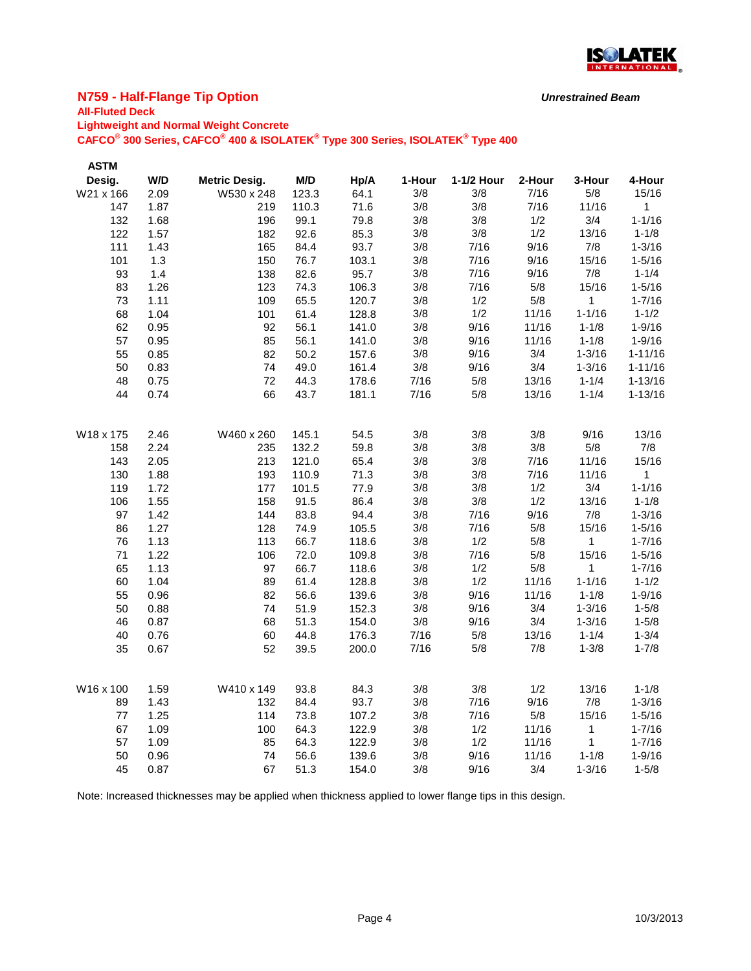

### **N759 - Half-Flange Tip Option**

# **All-Fluted Deck**

| <b>Lightweight and Normal Weight Concrete</b><br>CAFCO <sup>®</sup> 300 Series, CAFCO <sup>®</sup> 400 & ISOLATEK <sup>®</sup> Type 300 Series, ISOLATEK <sup>®</sup> Type 400 |      |                      |       |       |        |            |        |             |             |  |
|--------------------------------------------------------------------------------------------------------------------------------------------------------------------------------|------|----------------------|-------|-------|--------|------------|--------|-------------|-------------|--|
| <b>ASTM</b>                                                                                                                                                                    |      |                      |       |       |        |            |        |             |             |  |
| Desig.                                                                                                                                                                         | W/D  | <b>Metric Desig.</b> | M/D   | Hp/A  | 1-Hour | 1-1/2 Hour | 2-Hour | 3-Hour      | 4-Hour      |  |
| W21 x 166                                                                                                                                                                      | 2.09 | W530 x 248           | 123.3 | 64.1  | 3/8    | 3/8        | 7/16   | 5/8         | 15/16       |  |
| 147                                                                                                                                                                            | 1.87 | 219                  | 110.3 | 71.6  | 3/8    | 3/8        | 7/16   | 11/16       | $\mathbf 1$ |  |
| 132                                                                                                                                                                            | 1.68 | 196                  | 99.1  | 79.8  | 3/8    | 3/8        | 1/2    | 3/4         | $1 - 1/16$  |  |
| 122                                                                                                                                                                            | 1.57 | 182                  | 92.6  | 85.3  | 3/8    | 3/8        | 1/2    | 13/16       | $1 - 1/8$   |  |
| 111                                                                                                                                                                            | 1.43 | 165                  | 84.4  | 93.7  | 3/8    | 7/16       | 9/16   | 7/8         | $1 - 3/16$  |  |
| 101                                                                                                                                                                            | 1.3  | 150                  | 76.7  | 103.1 | 3/8    | 7/16       | 9/16   | 15/16       | $1 - 5/16$  |  |
| 93                                                                                                                                                                             | 1.4  | 138                  | 82.6  | 95.7  | 3/8    | 7/16       | 9/16   | 7/8         | $1 - 1/4$   |  |
| 83                                                                                                                                                                             | 1.26 | 123                  | 74.3  | 106.3 | 3/8    | 7/16       | 5/8    | 15/16       | $1 - 5/16$  |  |
| 73                                                                                                                                                                             | 1.11 | 109                  | 65.5  | 120.7 | 3/8    | 1/2        | 5/8    | $\mathbf 1$ | $1 - 7/16$  |  |
| 68                                                                                                                                                                             | 1.04 | 101                  | 61.4  | 128.8 | 3/8    | 1/2        | 11/16  | $1 - 1/16$  | $1 - 1/2$   |  |
| 62                                                                                                                                                                             | 0.95 | 92                   | 56.1  | 141.0 | 3/8    | 9/16       | 11/16  | $1 - 1/8$   | $1 - 9/16$  |  |
| 57                                                                                                                                                                             | 0.95 | 85                   | 56.1  | 141.0 | 3/8    | 9/16       | 11/16  | $1 - 1/8$   | $1 - 9/16$  |  |
| 55                                                                                                                                                                             | 0.85 | 82                   | 50.2  | 157.6 | 3/8    | 9/16       | 3/4    | $1 - 3/16$  | $1 - 11/16$ |  |
| 50                                                                                                                                                                             | 0.83 | 74                   | 49.0  | 161.4 | 3/8    | 9/16       | 3/4    | $1 - 3/16$  | $1 - 11/16$ |  |
| 48                                                                                                                                                                             | 0.75 | 72                   | 44.3  | 178.6 | 7/16   | 5/8        | 13/16  | $1 - 1/4$   | $1 - 13/16$ |  |
| 44                                                                                                                                                                             | 0.74 | 66                   | 43.7  | 181.1 | 7/16   | 5/8        | 13/16  | $1 - 1/4$   | $1 - 13/16$ |  |
| W18 x 175                                                                                                                                                                      | 2.46 | W460 x 260           | 145.1 | 54.5  | 3/8    | 3/8        | 3/8    | 9/16        | 13/16       |  |
| 158                                                                                                                                                                            | 2.24 | 235                  | 132.2 | 59.8  | 3/8    | 3/8        | 3/8    | 5/8         | 7/8         |  |
| 143                                                                                                                                                                            | 2.05 | 213                  | 121.0 | 65.4  | 3/8    | 3/8        | 7/16   | 11/16       | 15/16       |  |
| 130                                                                                                                                                                            | 1.88 | 193                  | 110.9 | 71.3  | 3/8    | 3/8        | 7/16   | 11/16       | 1           |  |
| 119                                                                                                                                                                            | 1.72 | 177                  | 101.5 | 77.9  | 3/8    | 3/8        | 1/2    | 3/4         | $1 - 1/16$  |  |
| 106                                                                                                                                                                            | 1.55 | 158                  | 91.5  | 86.4  | 3/8    | 3/8        | 1/2    | 13/16       | $1 - 1/8$   |  |
| 97                                                                                                                                                                             | 1.42 | 144                  | 83.8  | 94.4  | 3/8    | 7/16       | 9/16   | 7/8         | $1 - 3/16$  |  |
| 86                                                                                                                                                                             | 1.27 | 128                  | 74.9  | 105.5 | 3/8    | 7/16       | 5/8    | 15/16       | $1 - 5/16$  |  |
| 76                                                                                                                                                                             | 1.13 | 113                  | 66.7  | 118.6 | 3/8    | 1/2        | 5/8    | 1           | $1 - 7/16$  |  |
| 71                                                                                                                                                                             | 1.22 | 106                  | 72.0  | 109.8 | 3/8    | 7/16       | 5/8    | 15/16       | $1 - 5/16$  |  |
| 65                                                                                                                                                                             | 1.13 | 97                   | 66.7  | 118.6 | 3/8    | 1/2        | 5/8    | 1           | $1 - 7/16$  |  |
| 60                                                                                                                                                                             | 1.04 | 89                   | 61.4  | 128.8 | 3/8    | 1/2        | 11/16  | $1 - 1/16$  | $1 - 1/2$   |  |
| 55                                                                                                                                                                             | 0.96 | 82                   | 56.6  | 139.6 | 3/8    | 9/16       | 11/16  | $1 - 1/8$   | $1 - 9/16$  |  |
| 50                                                                                                                                                                             | 0.88 | 74                   | 51.9  | 152.3 | 3/8    | 9/16       | 3/4    | $1 - 3/16$  | $1 - 5/8$   |  |
| 46                                                                                                                                                                             | 0.87 | 68                   | 51.3  | 154.0 | 3/8    | 9/16       | 3/4    | $1 - 3/16$  | $1 - 5/8$   |  |
| 40                                                                                                                                                                             | 0.76 | 60                   | 44.8  | 176.3 | 7/16   | 5/8        | 13/16  | $1 - 1/4$   | $1 - 3/4$   |  |
| 35                                                                                                                                                                             | 0.67 | 52                   | 39.5  | 200.0 | 7/16   | 5/8        | 7/8    | $1 - 3/8$   | $1 - 7/8$   |  |
| W16 x 100                                                                                                                                                                      | 1.59 | W410 x 149           | 93.8  | 84.3  | 3/8    | 3/8        | 1/2    | 13/16       | $1 - 1/8$   |  |
| 89                                                                                                                                                                             | 1.43 | 132                  | 84.4  | 93.7  | 3/8    | 7/16       | 9/16   | 7/8         | $1 - 3/16$  |  |
| 77                                                                                                                                                                             | 1.25 | 114                  | 73.8  | 107.2 | 3/8    | 7/16       | 5/8    | 15/16       | $1 - 5/16$  |  |
| 67                                                                                                                                                                             | 1.09 | 100                  | 64.3  | 122.9 | 3/8    | 1/2        | 11/16  | 1           | $1 - 7/16$  |  |

Note: Increased thicknesses may be applied when thickness applied to lower flange tips in this design.

 1.09 85 64.3 122.9 3/8 1/2 11/16 1 1-7/16 0.96 74 56.6 139.6 3/8 9/16 11/16 1-1/8 1-9/16 0.87 67 51.3 154.0 3/8 9/16 3/4 1-3/16 1-5/8

*Unrestrained Beam*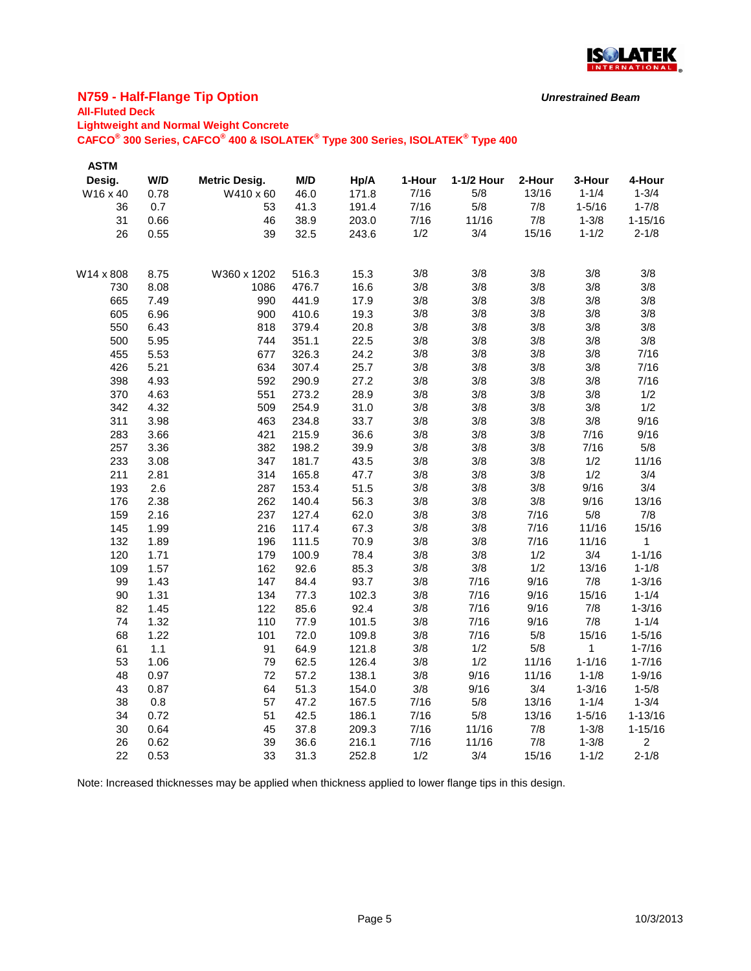

### **N759 - Half-Flange Tip Option**

## **All-Fluted Deck**

**Lightweight and Normal Weight Concrete**

**CAFCO® 300 Series, CAFCO® 400 & ISOLATEK® Type 300 Series, ISOLATEK® Type 400**

| <b>ASTM</b> |       |                      |       |       |        |            |        |                |                |
|-------------|-------|----------------------|-------|-------|--------|------------|--------|----------------|----------------|
| Desig.      | W/D   | <b>Metric Desig.</b> | M/D   | Hp/A  | 1-Hour | 1-1/2 Hour | 2-Hour | 3-Hour         | 4-Hour         |
| W16 x 40    | 0.78  | W410 x 60            | 46.0  | 171.8 | 7/16   | 5/8        | 13/16  | $1 - 1/4$      | $1 - 3/4$      |
| 36          | 0.7   | 53                   | 41.3  | 191.4 | 7/16   | 5/8        | 7/8    | $1 - 5/16$     | $1 - 7/8$      |
| 31          | 0.66  | 46                   | 38.9  | 203.0 | 7/16   | 11/16      | 7/8    | $1 - 3/8$      | $1 - 15/16$    |
| 26          | 0.55  | 39                   | 32.5  | 243.6 | 1/2    | 3/4        | 15/16  | $1 - 1/2$      | $2 - 1/8$      |
|             |       |                      |       |       |        |            |        |                |                |
| W14 x 808   | 8.75  | W360 x 1202          | 516.3 | 15.3  | 3/8    | 3/8        | 3/8    | 3/8            | 3/8            |
| 730         | 8.08  | 1086                 | 476.7 | 16.6  | 3/8    | 3/8        | 3/8    | 3/8            | 3/8            |
| 665         | 7.49  | 990                  | 441.9 | 17.9  | 3/8    | 3/8        | 3/8    | 3/8            | 3/8            |
| 605         | 6.96  | 900                  | 410.6 | 19.3  | 3/8    | 3/8        | 3/8    | 3/8            | 3/8            |
| 550         | 6.43  | 818                  | 379.4 | 20.8  | 3/8    | 3/8        | 3/8    | 3/8            | 3/8            |
| 500         | 5.95  | 744                  | 351.1 | 22.5  | 3/8    | 3/8        | 3/8    | 3/8            | 3/8            |
| 455         | 5.53  | 677                  | 326.3 | 24.2  | 3/8    | 3/8        | 3/8    | 3/8            | 7/16           |
| 426         | 5.21  | 634                  | 307.4 | 25.7  | 3/8    | 3/8        | 3/8    | 3/8            | 7/16           |
| 398         | 4.93  | 592                  | 290.9 | 27.2  | 3/8    | 3/8        | 3/8    | 3/8            | 7/16           |
| 370         | 4.63  | 551                  | 273.2 | 28.9  | 3/8    | 3/8        | 3/8    | 3/8            | 1/2            |
| 342         | 4.32  | 509                  | 254.9 | 31.0  | 3/8    | 3/8        | 3/8    | 3/8            | 1/2            |
| 311         | 3.98  | 463                  | 234.8 | 33.7  | 3/8    | 3/8        | 3/8    | 3/8            | 9/16           |
| 283         | 3.66  | 421                  | 215.9 | 36.6  | 3/8    | 3/8        | 3/8    | 7/16           | 9/16           |
| 257         | 3.36  | 382                  | 198.2 | 39.9  | 3/8    | 3/8        | 3/8    | 7/16           | 5/8            |
| 233         | 3.08  | 347                  | 181.7 | 43.5  | 3/8    | 3/8        | 3/8    | 1/2            | 11/16          |
| 211         | 2.81  | 314                  | 165.8 | 47.7  | 3/8    | 3/8        | 3/8    | 1/2            | 3/4            |
| 193         | 2.6   | 287                  | 153.4 | 51.5  | 3/8    | 3/8        | 3/8    | 9/16           | 3/4            |
| 176         | 2.38  | 262                  | 140.4 | 56.3  | 3/8    | 3/8        | 3/8    | 9/16           | 13/16          |
| 159         | 2.16  | 237                  | 127.4 | 62.0  | 3/8    | 3/8        | 7/16   | 5/8            | 7/8            |
| 145         | 1.99  | 216                  | 117.4 | 67.3  | 3/8    | 3/8        | 7/16   | 11/16          | 15/16          |
| 132         | 1.89  | 196                  | 111.5 | 70.9  | 3/8    | 3/8        | 7/16   | 11/16          | $\mathbf 1$    |
| 120         | 1.71  | 179                  | 100.9 | 78.4  | 3/8    | 3/8        | 1/2    | 3/4            | $1 - 1/16$     |
| 109         | 1.57  | 162                  | 92.6  | 85.3  | 3/8    | 3/8        | 1/2    | 13/16          | $1 - 1/8$      |
| 99          | 1.43  | 147                  | 84.4  | 93.7  | 3/8    | 7/16       | 9/16   | 7/8            | $1 - 3/16$     |
| 90          | 1.31  | 134                  | 77.3  | 102.3 | 3/8    | 7/16       | 9/16   | 15/16          | $1 - 1/4$      |
| 82          | 1.45  | 122                  | 85.6  | 92.4  | 3/8    | 7/16       | 9/16   | 7/8            | $1 - 3/16$     |
| 74          | 1.32  | 110                  | 77.9  | 101.5 | 3/8    | 7/16       | 9/16   | 7/8            | $1 - 1/4$      |
| 68          | 1.22  | 101                  | 72.0  | 109.8 | 3/8    | 7/16       | 5/8    | 15/16          | $1 - 5/16$     |
| 61          | $1.1$ | 91                   | 64.9  | 121.8 | 3/8    | $1/2$      | $5/8$  | $\overline{1}$ | $1 - 7/16$     |
| 53          | 1.06  | 79                   | 62.5  | 126.4 | 3/8    | 1/2        | 11/16  | $1 - 1/16$     | $1 - 7/16$     |
| 48          | 0.97  | 72                   | 57.2  | 138.1 | 3/8    | 9/16       | 11/16  | $1 - 1/8$      | $1 - 9/16$     |
| 43          | 0.87  | 64                   | 51.3  | 154.0 | 3/8    | 9/16       | 3/4    | $1 - 3/16$     | $1 - 5/8$      |
| 38          | 0.8   | 57                   | 47.2  | 167.5 | 7/16   | 5/8        | 13/16  | $1 - 1/4$      | $1 - 3/4$      |
| 34          | 0.72  | 51                   | 42.5  | 186.1 | 7/16   | 5/8        | 13/16  | $1 - 5/16$     | $1 - 13/16$    |
| 30          | 0.64  | 45                   | 37.8  | 209.3 | 7/16   | 11/16      | 7/8    | $1 - 3/8$      | $1 - 15/16$    |
| 26          | 0.62  | 39                   | 36.6  | 216.1 | 7/16   | 11/16      | 7/8    | $1 - 3/8$      | $\overline{2}$ |
| 22          | 0.53  | 33                   | 31.3  | 252.8 | 1/2    | 3/4        | 15/16  | $1 - 1/2$      | $2 - 1/8$      |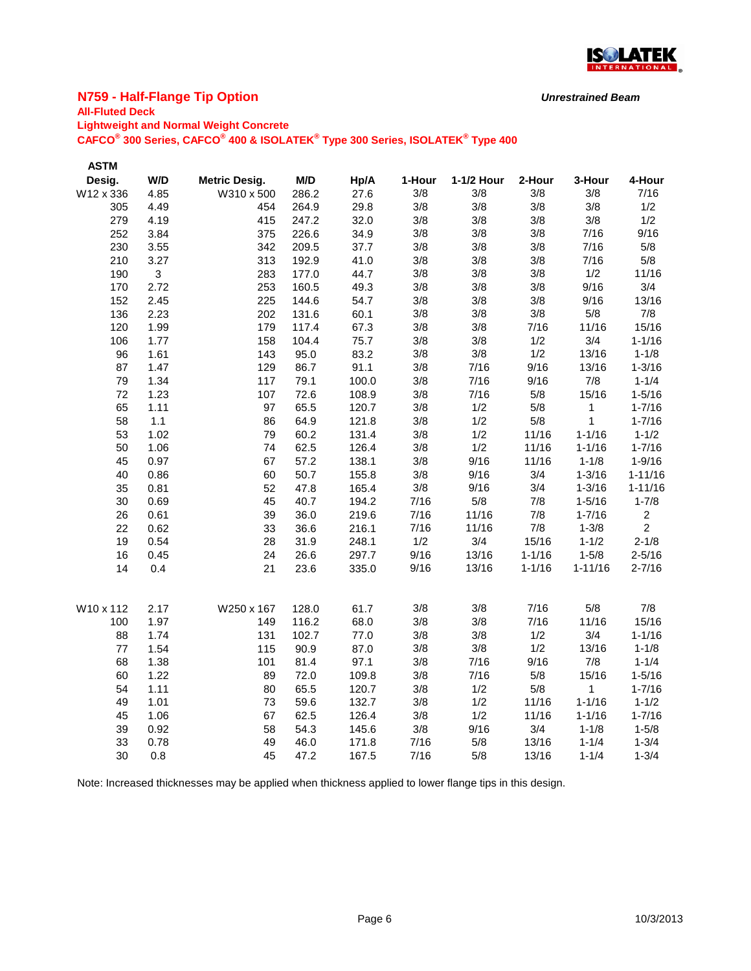

### **N759 - Half-Flange Tip Option**

## **All-Fluted Deck**

**Lightweight and Normal Weight Concrete**

**CAFCO® 300 Series, CAFCO® 400 & ISOLATEK® Type 300 Series, ISOLATEK® Type 400**

| <b>ASTM</b> |      |                      |       |       |        |            |            |             |                |
|-------------|------|----------------------|-------|-------|--------|------------|------------|-------------|----------------|
| Desig.      | W/D  | <b>Metric Desig.</b> | M/D   | Hp/A  | 1-Hour | 1-1/2 Hour | 2-Hour     | 3-Hour      | 4-Hour         |
| W12 x 336   | 4.85 | W310 x 500           | 286.2 | 27.6  | 3/8    | 3/8        | 3/8        | 3/8         | 7/16           |
| 305         | 4.49 | 454                  | 264.9 | 29.8  | 3/8    | 3/8        | 3/8        | 3/8         | 1/2            |
| 279         | 4.19 | 415                  | 247.2 | 32.0  | 3/8    | 3/8        | 3/8        | 3/8         | 1/2            |
| 252         | 3.84 | 375                  | 226.6 | 34.9  | 3/8    | 3/8        | 3/8        | 7/16        | 9/16           |
| 230         | 3.55 | 342                  | 209.5 | 37.7  | 3/8    | 3/8        | 3/8        | 7/16        | 5/8            |
| 210         | 3.27 | 313                  | 192.9 | 41.0  | 3/8    | 3/8        | 3/8        | 7/16        | 5/8            |
| 190         | 3    | 283                  | 177.0 | 44.7  | 3/8    | 3/8        | 3/8        | 1/2         | 11/16          |
| 170         | 2.72 | 253                  | 160.5 | 49.3  | 3/8    | 3/8        | 3/8        | 9/16        | 3/4            |
| 152         | 2.45 | 225                  | 144.6 | 54.7  | 3/8    | 3/8        | 3/8        | 9/16        | 13/16          |
| 136         | 2.23 | 202                  | 131.6 | 60.1  | 3/8    | 3/8        | 3/8        | 5/8         | 7/8            |
| 120         | 1.99 | 179                  | 117.4 | 67.3  | 3/8    | 3/8        | 7/16       | 11/16       | 15/16          |
| 106         | 1.77 | 158                  | 104.4 | 75.7  | 3/8    | 3/8        | 1/2        | 3/4         | $1 - 1/16$     |
| 96          | 1.61 | 143                  | 95.0  | 83.2  | 3/8    | 3/8        | 1/2        | 13/16       | $1 - 1/8$      |
| 87          | 1.47 | 129                  | 86.7  | 91.1  | 3/8    | 7/16       | 9/16       | 13/16       | $1 - 3/16$     |
| 79          | 1.34 | 117                  | 79.1  | 100.0 | 3/8    | 7/16       | 9/16       | 7/8         | $1 - 1/4$      |
| 72          | 1.23 | 107                  | 72.6  | 108.9 | 3/8    | 7/16       | 5/8        | 15/16       | $1 - 5/16$     |
| 65          | 1.11 | 97                   | 65.5  | 120.7 | 3/8    | 1/2        | 5/8        | 1           | $1 - 7/16$     |
| 58          | 1.1  | 86                   | 64.9  | 121.8 | 3/8    | 1/2        | 5/8        | 1           | $1 - 7/16$     |
| 53          | 1.02 | 79                   | 60.2  | 131.4 | 3/8    | 1/2        | 11/16      | $1 - 1/16$  | $1 - 1/2$      |
| 50          | 1.06 | 74                   | 62.5  | 126.4 | 3/8    | 1/2        | 11/16      | $1 - 1/16$  | $1 - 7/16$     |
| 45          | 0.97 | 67                   | 57.2  | 138.1 | 3/8    | 9/16       | 11/16      | $1 - 1/8$   | $1 - 9/16$     |
| 40          | 0.86 | 60                   | 50.7  | 155.8 | 3/8    | 9/16       | 3/4        | $1 - 3/16$  | $1 - 11/16$    |
| 35          | 0.81 | 52                   | 47.8  | 165.4 | 3/8    | 9/16       | 3/4        | $1 - 3/16$  | $1 - 11/16$    |
| 30          | 0.69 | 45                   | 40.7  | 194.2 | 7/16   | 5/8        | 7/8        | $1 - 5/16$  | $1 - 7/8$      |
| 26          | 0.61 | 39                   | 36.0  | 219.6 | 7/16   | 11/16      | 7/8        | $1 - 7/16$  | $\overline{c}$ |
| 22          | 0.62 | 33                   | 36.6  | 216.1 | 7/16   | 11/16      | 7/8        | $1 - 3/8$   | $\overline{2}$ |
| 19          | 0.54 | 28                   | 31.9  | 248.1 | 1/2    | 3/4        | 15/16      | $1 - 1/2$   | $2 - 1/8$      |
| 16          | 0.45 | 24                   | 26.6  | 297.7 | 9/16   | 13/16      | $1 - 1/16$ | $1 - 5/8$   | $2 - 5/16$     |
| 14          | 0.4  | 21                   | 23.6  | 335.0 | 9/16   | 13/16      | $1 - 1/16$ | $1 - 11/16$ | $2 - 7/16$     |
| W10 x 112   | 2.17 | W250 x 167           | 128.0 | 61.7  | 3/8    | 3/8        | 7/16       | 5/8         | 7/8            |
| 100         | 1.97 | 149                  | 116.2 | 68.0  | 3/8    | 3/8        | 7/16       | 11/16       | 15/16          |
| 88          | 1.74 | 131                  | 102.7 | 77.0  | 3/8    | 3/8        | 1/2        | 3/4         | $1 - 1/16$     |
| $77 \,$     | 1.54 | 115                  | 90.9  | 87.0  | 3/8    | 3/8        | 1/2        | 13/16       | $1 - 1/8$      |
| 68          | 1.38 | 101                  | 81.4  | 97.1  | 3/8    | 7/16       | 9/16       | 7/8         | $1 - 1/4$      |
| 60          | 1.22 | 89                   | 72.0  | 109.8 | 3/8    | 7/16       | 5/8        | 15/16       | $1 - 5/16$     |
| 54          | 1.11 | 80                   | 65.5  | 120.7 | 3/8    | 1/2        | 5/8        | 1           | $1 - 7/16$     |
| 49          | 1.01 | 73                   | 59.6  | 132.7 | 3/8    | 1/2        | 11/16      | $1 - 1/16$  | $1 - 1/2$      |
| 45          | 1.06 | 67                   | 62.5  | 126.4 | 3/8    | 1/2        | 11/16      | $1 - 1/16$  | $1 - 7/16$     |
| 39          | 0.92 | 58                   | 54.3  | 145.6 | 3/8    | 9/16       | 3/4        | $1 - 1/8$   | $1 - 5/8$      |
| 33          | 0.78 | 49                   | 46.0  | 171.8 | 7/16   | 5/8        | 13/16      | $1 - 1/4$   | $1 - 3/4$      |
| 30          | 0.8  | 45                   | 47.2  | 167.5 | 7/16   | 5/8        | 13/16      | $1 - 1/4$   | $1 - 3/4$      |